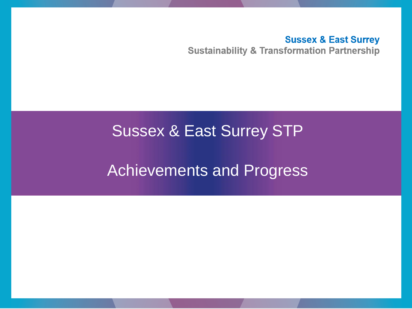**Sussex & East Surrey Sustainability & Transformation Partnership** 

## Sussex & East Surrey STP

# Achievements and Progress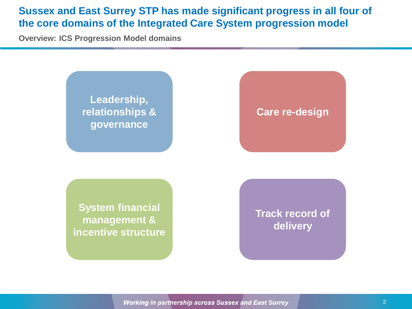#### **Sussex and East Surrey STP has made significant progress in all four of the core domains of the Integrated Care System progression model**

**Overview: ICS Progression Model domains**

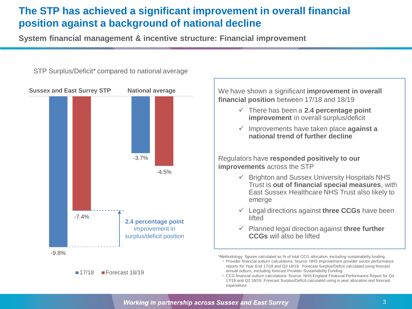## **The STP has achieved a significant improvement in overall financial position against a background of national decline**

**System financial management & incentive structure: Financial improvement** 



#### STP Surplus/Deficit\* compared to national average





• CCG financial outturn calculations: Source: NHS England Financial Performance Report for Q4 17/18 and Q2 18/19. Forecast Surplus/Deficit calculated using in year allocation and forecast expenditure.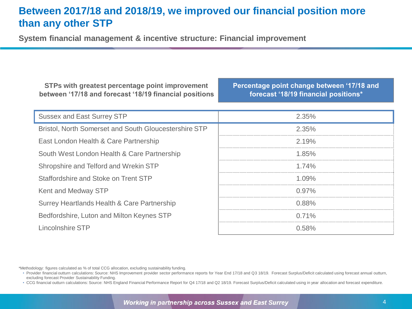#### **Between 2017/18 and 2018/19, we improved our financial position more than any other STP**

**System financial management & incentive structure: Financial improvement** 

**STPs with greatest percentage point improvement between '17/18 and forecast '18/19 financial positions** **Percentage point change between '17/18 and forecast '18/19 financial positions\*** 

| <b>Sussex and East Surrey STP</b>                     | 2.35%    |
|-------------------------------------------------------|----------|
| Bristol, North Somerset and South Gloucestershire STP | 2.35%    |
| East London Health & Care Partnership                 | 2.19%    |
| South West London Health & Care Partnership           | $1.85\%$ |
| Shropshire and Telford and Wrekin STP                 | $1.74\%$ |
| Staffordshire and Stoke on Trent STP                  | $1.09\%$ |
| Kent and Medway STP                                   | $0.97\%$ |
| Surrey Heartlands Health & Care Partnership           | 0.88%    |
| Bedfordshire, Luton and Milton Keynes STP             | $0.71\%$ |
| Lincolnshire STP                                      | በ 58%    |

\*Methodology: figures calculated as % of total CCG allocation, excluding sustainability funding.

• CCG financial outturn calculations: Source: NHS England Financial Performance Report for Q4 17/18 and Q2 18/19. Forecast Surplus/Deficit calculated using in year allocation and forecast expenditure.

**Working in partnership across Sussex and East Surrey** 

<sup>•</sup> Provider financial outturn calculations: Source: NHS Improvement provider sector performance reports for Year End 17/18 and Q3 18/19. Forecast Surplus/Deficit calculated using forecast annual outturn, excluding forecast Provider Sustainability Funding.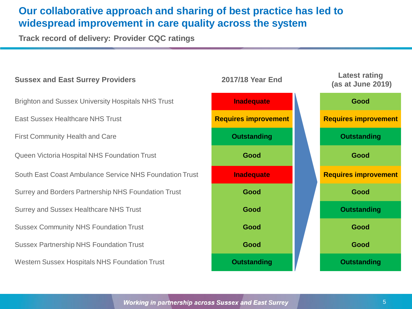#### **Our collaborative approach and sharing of best practice has led to widespread improvement in care quality across the system**

**Track record of delivery: Provider CQC ratings** 



**Working in partnership across Sussex and East Surrey**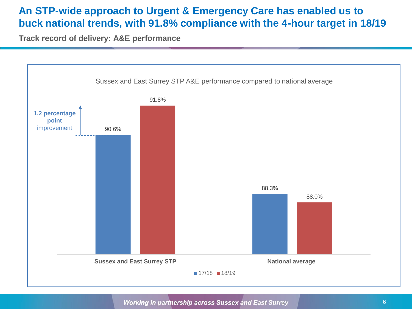#### **An STP-wide approach to Urgent & Emergency Care has enabled us to buck national trends, with 91.8% compliance with the 4-hour target in 18/19**

**Track record of delivery: A&E performance** 



Working in partnership across Sussex and East Surrey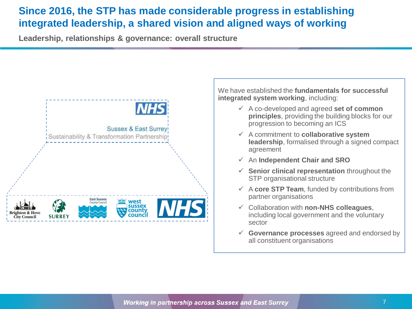### **Since 2016, the STP has made considerable progress in establishing integrated leadership, a shared vision and aligned ways of working**

**Leadership, relationships & governance: overall structure**



We have established the **fundamentals for successful integrated system working**, including:

- A co-developed and agreed **set of common principles**, providing the building blocks for our progression to becoming an ICS
- A commitment to **collaborative system leadership**, formalised through a signed compact agreement
- An **Independent Chair and SRO**
- **Senior clinical representation** throughout the STP organisational structure
- $\checkmark$  A core STP Team, funded by contributions from partner organisations
- Collaboration with **non-NHS colleagues**, including local government and the voluntary sector
- **Governance processes** agreed and endorsed by all constituent organisations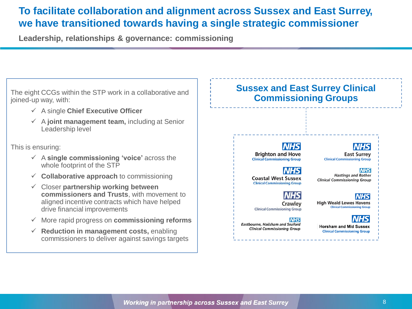#### **To facilitate collaboration and alignment across Sussex and East Surrey, we have transitioned towards having a single strategic commissioner**

**Leadership, relationships & governance: commissioning**

The eight CCGs within the STP work in a collaborative and joined-up way, with:

- A single **Chief Executive Officer**
- A **joint management team,** including at Senior Leadership level

This is ensuring:

- A **single commissioning 'voice'** across the whole footprint of the STP
- **Collaborative approach** to commissioning
- Closer **partnership working between commissioners and Trusts**, with movement to aligned incentive contracts which have helped drive financial improvements
- More rapid progress on **commissioning reforms**
- **Reduction in management costs,** enabling commissioners to deliver against savings targets

#### **Sussex and East Surrey Clinical Commissioning Groups**

**Brighton and Hove Clinical Commissioning Group** 

**Coastal West Sussex** 

**Clinical Commissioning Group** 

**Clinical Commissioning Group** 

**Eastbourne, Hailsham and Seaford** 

**Clinical Commissioning Group** 

Crawley

**NHS** 

**East Surrey Clinical Commissioning Group** 

**NHS Hastings and Rother Clinical Commissioning Group** 

*NHS*I **High Weald Lewes Havens** 

**Clinical Commissioning Group** 

**Horsham and Mid Sussex Clinical Commissioning Group**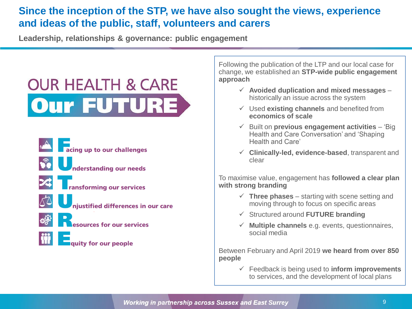### **Since the inception of the STP, we have also sought the views, experience and ideas of the public, staff, volunteers and carers**

**Leadership, relationships & governance: public engagement**

# **OUR HEALTH & CARE** Our FUTURE



Following the publication of the LTP and our local case for change, we established an **STP-wide public engagement approach**

- **Avoided duplication and mixed messages** historically an issue across the system
- Used **existing channels** and benefited from **economics of scale**
- Built on **previous engagement activities**  'Big Health and Care Conversation' and 'Shaping Health and Care'
- **Clinically-led, evidence-based**, transparent and clear

To maximise value, engagement has **followed a clear plan with strong branding**

- $\checkmark$  Three phases starting with scene setting and moving through to focus on specific areas
- Structured around **FUTURE branding**
- $\checkmark$  **Multiple channels** e.g. events, questionnaires, social media

Between February and April 2019 **we heard from over 850 people**

> Feedback is being used to **inform improvements**  to services, and the development of local plans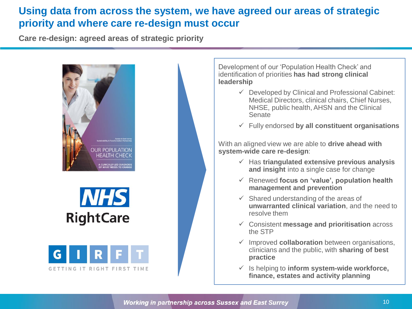#### **Using data from across the system, we have agreed our areas of strategic priority and where care re-design must occur**

**Care re-design: agreed areas of strategic priority**







Development of our 'Population Health Check' and identification of priorities **has had strong clinical leadership**

- $\checkmark$  Developed by Clinical and Professional Cabinet: Medical Directors, clinical chairs, Chief Nurses, NHSE, public health, AHSN and the Clinical **Senate**
- Fully endorsed **by all constituent organisations**

With an aligned view we are able to **drive ahead with system-wide care re-design**:

- Has **triangulated extensive previous analysis and insight** into a single case for change
- Renewed **focus on 'value', population health management and prevention**
- $\checkmark$  Shared understanding of the areas of **unwarranted clinical variation**, and the need to resolve them
- Consistent **message and prioritisation** across the STP
- $\checkmark$  Improved **collaboration** between organisations, clinicians and the public, with **sharing of best practice**
- $\checkmark$  Is helping to **inform system-wide workforce**, **finance, estates and activity planning**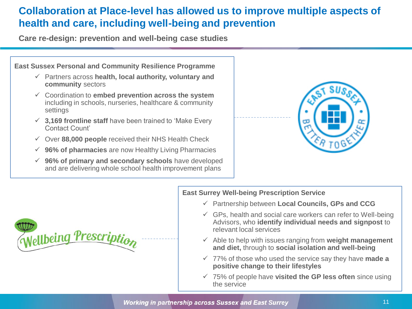## **Collaboration at Place-level has allowed us to improve multiple aspects of health and care, including well-being and prevention**

**Care re-design: prevention and well-being case studies**



 **96% of primary and secondary schools** have developed and are delivering whole school health improvement plans





#### **East Surrey Well-being Prescription Service**

- Partnership between **Local Councils, GPs and CCG**
- $\checkmark$  GPs, health and social care workers can refer to Well-being Advisors, who **identify individual needs and signpost** to relevant local services
- $\checkmark$  Able to help with issues ranging from weight management **and diet,** through to **social isolation and well-being**
- 77% of those who used the service say they have **made a positive change to their lifestyles**
- 75% of people have **visited the GP less often** since using the service